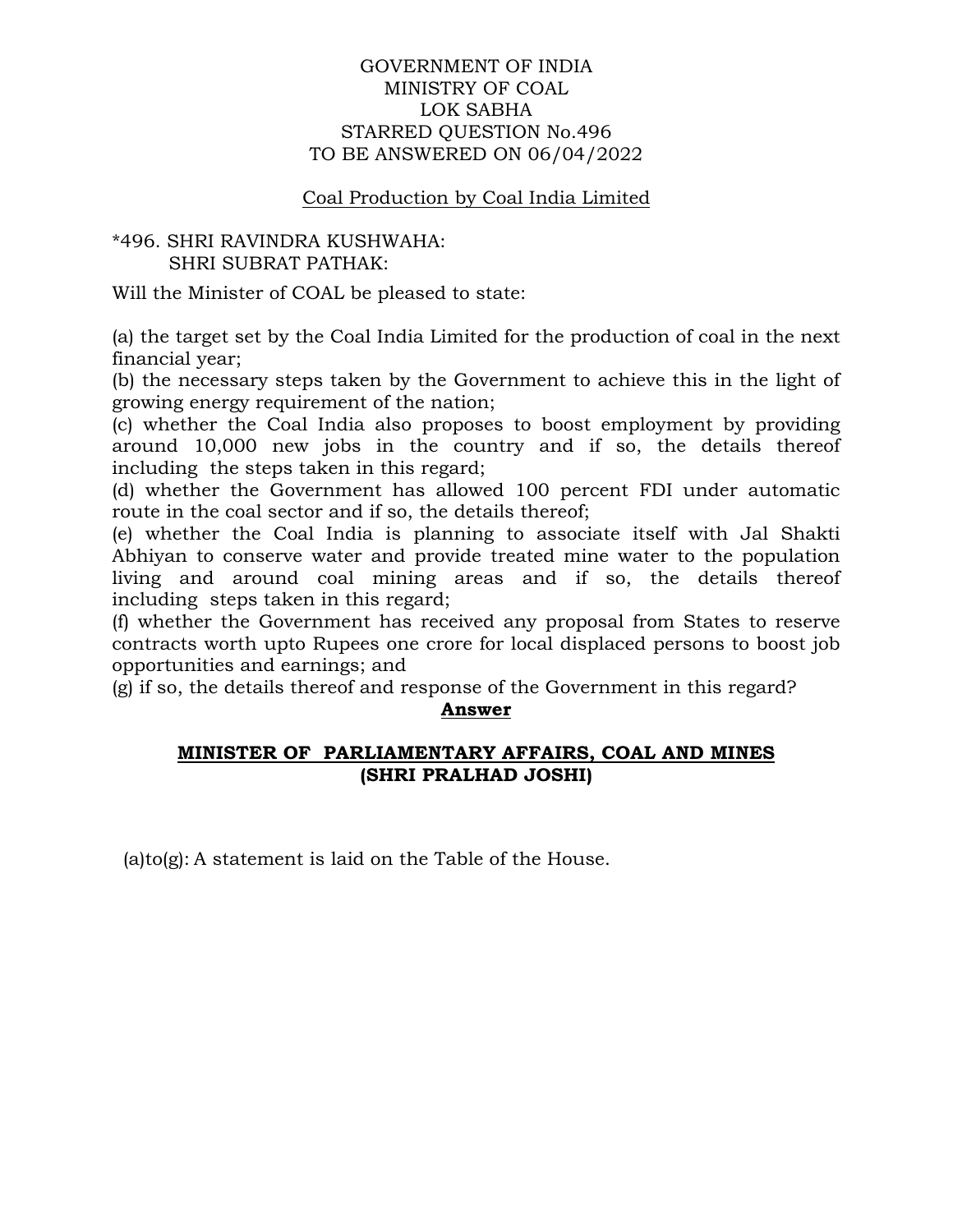# GOVERNMENT OF INDIA MINISTRY OF COAL LOK SABHA STARRED QUESTION No.496 TO BE ANSWERED ON 06/04/2022

# Coal Production by Coal India Limited

# \*496. SHRI RAVINDRA KUSHWAHA: SHRI SUBRAT PATHAK:

Will the Minister of COAL be pleased to state:

(a) the target set by the Coal India Limited for the production of coal in the next financial year;

(b) the necessary steps taken by the Government to achieve this in the light of growing energy requirement of the nation;

(c) whether the Coal India also proposes to boost employment by providing around 10,000 new jobs in the country and if so, the details thereof including the steps taken in this regard;

(d) whether the Government has allowed 100 percent FDI under automatic route in the coal sector and if so, the details thereof;

(e) whether the Coal India is planning to associate itself with Jal Shakti Abhiyan to conserve water and provide treated mine water to the population living and around coal mining areas and if so, the details thereof including steps taken in this regard;

(f) whether the Government has received any proposal from States to reserve contracts worth upto Rupees one crore for local displaced persons to boost job opportunities and earnings; and

(g) if so, the details thereof and response of the Government in this regard?

#### **Answer**

# **MINISTER OF PARLIAMENTARY AFFAIRS, COAL AND MINES (SHRI PRALHAD JOSHI)**

(a)to(g): A statement is laid on the Table of the House.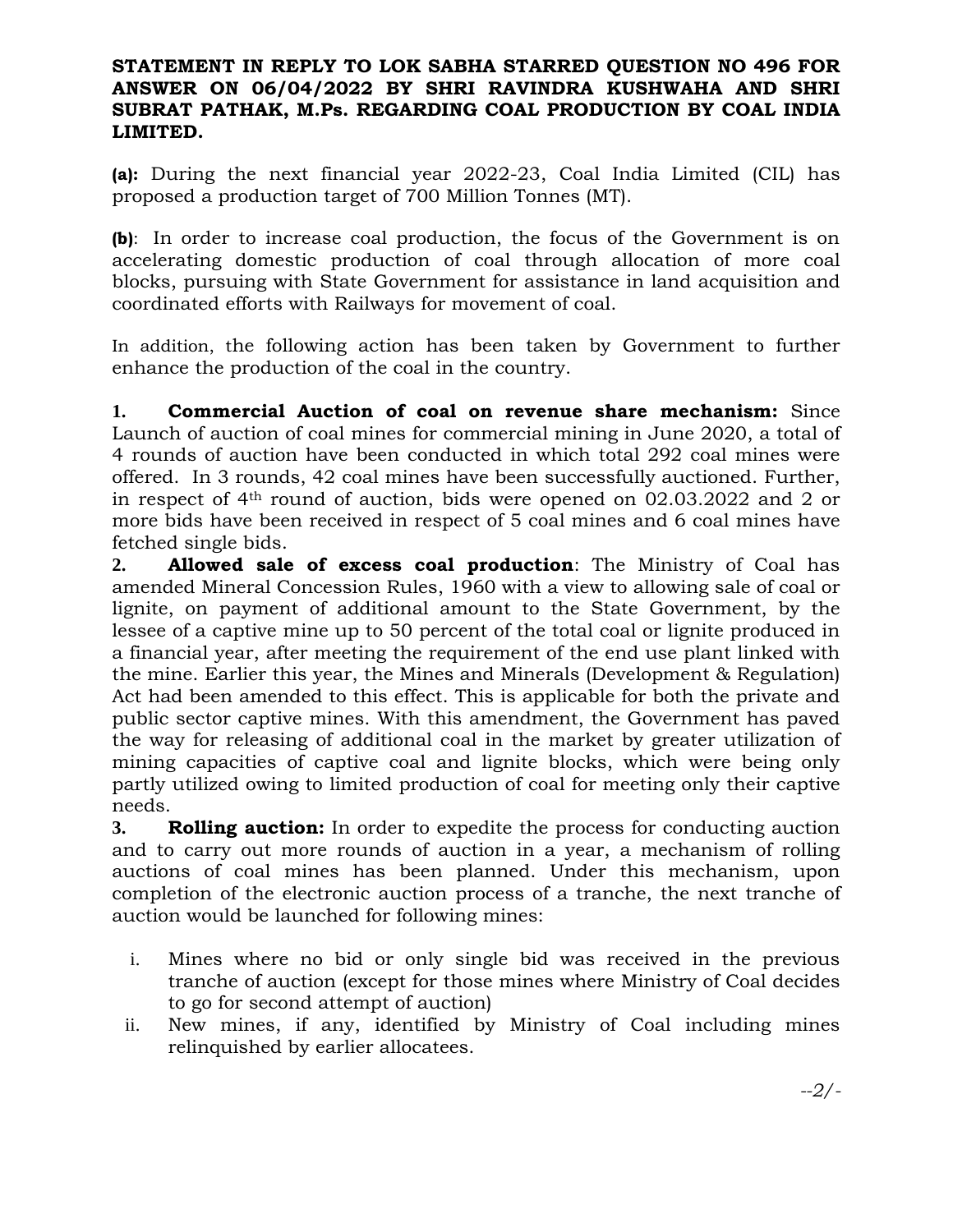# **STATEMENT IN REPLY TO LOK SABHA STARRED QUESTION NO 496 FOR ANSWER ON 06/04/2022 BY SHRI RAVINDRA KUSHWAHA AND SHRI SUBRAT PATHAK, M.Ps. REGARDING COAL PRODUCTION BY COAL INDIA LIMITED.**

**(a):** During the next financial year 2022-23, Coal India Limited (CIL) has proposed a production target of 700 Million Tonnes (MT).

**(b)**: In order to increase coal production, the focus of the Government is on accelerating domestic production of coal through allocation of more coal blocks, pursuing with State Government for assistance in land acquisition and coordinated efforts with Railways for movement of coal.

In addition, the following action has been taken by Government to further enhance the production of the coal in the country.

**1. Commercial Auction of coal on revenue share mechanism:** Since Launch of auction of coal mines for commercial mining in June 2020, a total of 4 rounds of auction have been conducted in which total 292 coal mines were offered. In 3 rounds, 42 coal mines have been successfully auctioned. Further, in respect of 4th round of auction, bids were opened on 02.03.2022 and 2 or more bids have been received in respect of 5 coal mines and 6 coal mines have fetched single bids.

**2. Allowed sale of excess coal production**: The Ministry of Coal has amended Mineral Concession Rules, 1960 with a view to allowing sale of coal or lignite, on payment of additional amount to the State Government, by the lessee of a captive mine up to 50 percent of the total coal or lignite produced in a financial year, after meeting the requirement of the end use plant linked with the mine. Earlier this year, the Mines and Minerals (Development & Regulation) Act had been amended to this effect. This is applicable for both the private and public sector captive mines. With this amendment, the Government has paved the way for releasing of additional coal in the market by greater utilization of mining capacities of captive coal and lignite blocks, which were being only partly utilized owing to limited production of coal for meeting only their captive needs.

**3. Rolling auction:** In order to expedite the process for conducting auction and to carry out more rounds of auction in a year, a mechanism of rolling auctions of coal mines has been planned. Under this mechanism, upon completion of the electronic auction process of a tranche, the next tranche of auction would be launched for following mines:

- i. Mines where no bid or only single bid was received in the previous tranche of auction (except for those mines where Ministry of Coal decides to go for second attempt of auction)
- ii. New mines, if any, identified by Ministry of Coal including mines relinquished by earlier allocatees.